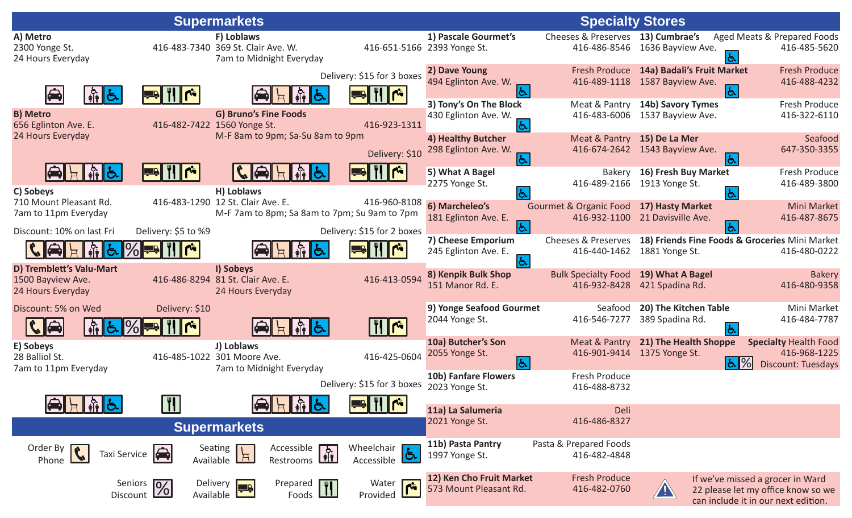| <b>Supermarkets</b>                                                                         |                                    |                                                                                   |                                                          | <b>Specialty Stores</b>                               |                                                   |                                                                  |                                                                                                               |
|---------------------------------------------------------------------------------------------|------------------------------------|-----------------------------------------------------------------------------------|----------------------------------------------------------|-------------------------------------------------------|---------------------------------------------------|------------------------------------------------------------------|---------------------------------------------------------------------------------------------------------------|
| A) Metro<br>2300 Yonge St.<br>24 Hours Everyday                                             |                                    | F) Loblaws<br>416-483-7340 369 St. Clair Ave. W.<br>7am to Midnight Everyday      |                                                          | 1) Pascale Gourmet's<br>416-651-5166 2393 Yonge St.   | Cheeses & Preserves 13) Cumbrae's<br>416-486-8546 | 1636 Bayview Ave.                                                | Aged Meats & Prepared Foods<br>416-485-5620                                                                   |
|                                                                                             |                                    |                                                                                   | Delivery: \$15 for 3 boxes                               | 2) Dave Young<br>494 Eglinton Ave. W.                 | <b>Fresh Produce</b><br>416-489-1118              | 14a) Badali's Fruit Market<br>1587 Bayview Ave.<br>င်္           | <b>Fresh Produce</b><br>416-488-4232                                                                          |
| B) Metro<br>656 Eglinton Ave. E.                                                            |                                    | <b>G) Bruno's Fine Foods</b><br>416-482-7422 1560 Yonge St.                       | 416-923-1311                                             | 3) Tony's On The Block<br>430 Eglinton Ave. W.<br> ಹಿ | Meat & Pantry<br>416-483-6006                     | 14b) Savory Tymes<br>1537 Bayview Ave.                           | Fresh Produce<br>416-322-6110                                                                                 |
| 24 Hours Everyday                                                                           |                                    | M-F 8am to 9pm; Sa-Su 8am to 9pm                                                  | Delivery: \$10                                           | 4) Healthy Butcher<br>298 Eglinton Ave. W.<br>15      | Meat & Pantry<br>416-674-2642                     | 15) De La Mer<br>1543 Bayview Ave.<br> မ                         | Seafood<br>647-350-3355                                                                                       |
| ▎▀▘▍▏▏▌ <sub>۩</sub> ░▌<br>C) Sobeys                                                        | $    \mathbf{f}  $<br>$\mathbb{L}$ | $\mathbf{G}$ $\mathbf{F}$<br>ା ∰ ∥ା©<br>H) Loblaws                                | TI I rel<br>$\rightarrow$                                | 5) What A Bagel<br>2275 Yonge St.                     | Bakery<br>416-489-2166                            | 16) Fresh Buy Market<br>1913 Yonge St.                           | Fresh Produce<br>416-489-3800                                                                                 |
| 710 Mount Pleasant Rd.<br>7am to 11pm Everyday                                              |                                    | 416-483-1290 12 St. Clair Ave. E.<br>M-F 7am to 8pm; Sa 8am to 7pm; Su 9am to 7pm | 416-960-8108                                             | 6) Marcheleo's<br>181 Eglinton Ave. E.<br> 노          | <b>Gourmet &amp; Organic Food</b><br>416-932-1100 | 17) Hasty Market<br>21 Davisville Ave.                           | <b>Mini Market</b><br>416-487-8675                                                                            |
| Discount: 10% on last Fri                                                                   | Delivery: \$5 to %9                |                                                                                   | Delivery: \$15 for 2 boxes                               | 7) Cheese Emporium<br>245 Eglinton Ave. E.            | <b>Cheeses &amp; Preserves</b><br>416-440-1462    | 18) Friends Fine Foods & Groceries Mini Market<br>1881 Yonge St. | 416-480-0222                                                                                                  |
| D) Tremblett's Valu-Mart<br>1500 Bayview Ave.<br>24 Hours Everyday                          |                                    | I) Sobeys<br>416-486-8294 81 St. Clair Ave. E.<br>24 Hours Everyday               | 416-413-0594                                             | 8) Kenpik Bulk Shop<br>151 Manor Rd. E.               | <b>Bulk Specialty Food</b><br>416-932-8428        | 19) What A Bagel<br>421 Spadina Rd.                              | <b>Bakery</b><br>416-480-9358                                                                                 |
| Discount: 5% on Wed                                                                         | Delivery: \$10                     | 補し                                                                                | $\frac{1}{2}$                                            | 9) Yonge Seafood Gourmet<br>2044 Yonge St.            | Seafood<br>416-546-7277                           | 20) The Kitchen Table<br>389 Spadina Rd.                         | Mini Market<br>416-484-7787                                                                                   |
| E) Sobeys<br>28 Balliol St.<br>7am to 11pm Everyday                                         | 416-485-1022                       | J) Loblaws<br>301 Moore Ave.<br>7am to Midnight Everyday                          | 416-425-0604                                             | 10a) Butcher's Son<br>2055 Yonge St.                  | Meat & Pantry<br>416-901-9414                     | 21) The Health Shoppe<br>1375 Yonge St.<br>$ \mathbf{L} $ %      | <b>Specialty Health Food</b><br>416-968-1225<br>Discount: Tuesdays                                            |
|                                                                                             |                                    |                                                                                   | Delivery: \$15 for 3 boxes                               | 10b) Fanfare Flowers<br>2023 Yonge St.                | Fresh Produce<br>416-488-8732                     |                                                                  |                                                                                                               |
| ौ∥ ौ                                                                                        | $\overline{\mathbf{H}}$            | 高 16<br><b>Supermarkets</b>                                                       | <b>Ire</b>                                               | 11a) La Salumeria<br>2021 Yonge St.                   | Deli<br>416-486-8327                              |                                                                  |                                                                                                               |
| Order By $\left[\begin{array}{c} \bullet \\ \bullet \\ \bullet \end{array}\right]$<br>Phone | Taxi Service <b>in</b>             | Accessible<br>Seating $H$<br>Available<br>Restrooms                               | Wheelchair<br>Accessible<br>$\frac{5}{11}$<br>Accessible | 11b) Pasta Pantry<br>1997 Yonge St.                   | Pasta & Prepared Foods<br>416-482-4848            |                                                                  |                                                                                                               |
|                                                                                             | Seniors <b>%</b><br>Discount       | Delivery<br>Available<br>Prepared <b>TI</b>                                       | Water<br>$\overline{\mathcal{R}}$<br>Provided            | 12) Ken Cho Fruit Market<br>573 Mount Pleasant Rd.    | <b>Fresh Produce</b><br>416-482-0760              | AN                                                               | If we've missed a grocer in Ward<br>22 please let my office know so we<br>can include it in our next edition. |